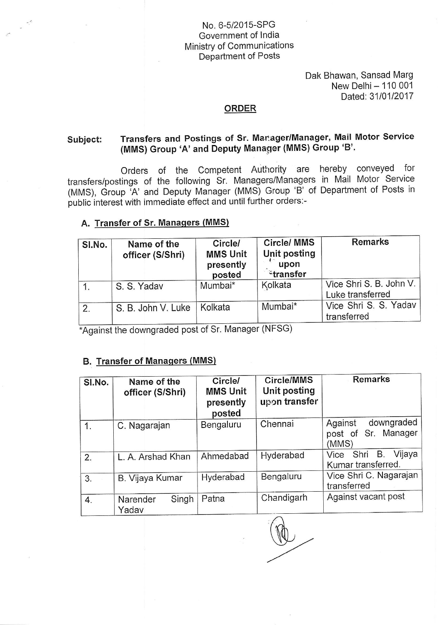## No. 6-5/2015-SPG Government of lndia Ministry of Communications Department of Posts

Dak Bhawan, Sansad Marg New Delhi - 110 001 Dated:3110112Q17

#### ORDER

#### Transfers and Postings of Sr. Manager/Manager, Mail Motor Service Subject: (MMS) Group'A'and Deputy Manager (MMS) Group'B''

Orders of the Competent Authority are hereby conveyed for transfers/postings of the following Sr. Managers/Managers in Mail Motor Service (MMS), Group 'A' and Deputy Manager (MMS) Group 'B' of Department of Posts in public interest with immediate effect and until further orders:-

### A. Transfer of Sr, Manaqers (MMS)

| SI.No. | Name of the<br>officer (S/Shri) | Circle/<br><b>MMS Unit</b><br>presently<br>posted | Circle/ MMS<br>Unit posting<br>$\frac{1}{2}$ upon<br>$z$ transfer | <b>Remarks</b>                              |
|--------|---------------------------------|---------------------------------------------------|-------------------------------------------------------------------|---------------------------------------------|
|        | S. S. Yadav                     | Mumbai*                                           | Kolkata                                                           | Vice Shri S. B. John V.<br>Luke transferred |
| 2.     | S. B. John V. Luke              | Kolkata                                           | Mumbai*                                                           | Vice Shri S. S. Yadav<br>transferred        |

\*Against the downgraded post of Sr. Manager (NFSG)

## B. Transfer of Manaqers (MMS)

| SI.No.         | Name of the<br>officer (S/Shri) | <b>Circle/</b><br><b>MMS Unit</b><br>presently<br>posted | Circle/MMS<br>Unit posting<br>upon transfer | <b>Remarks</b>                                        |
|----------------|---------------------------------|----------------------------------------------------------|---------------------------------------------|-------------------------------------------------------|
| $\mathbf{1}$ . | C. Nagarajan                    | Bengaluru                                                | Chennai                                     | downgraded<br>Against<br>post of Sr. Manager<br>(MMS) |
| 2.             | L. A. Arshad Khan               | Ahmedabad                                                | Hyderabad                                   | Vijaya<br>Vice Shri B.<br>Kumar transferred.          |
| 3.             | B. Vijaya Kumar                 | Hyderabad                                                | Bengaluru                                   | Vice Shri C. Nagarajan<br>transferred                 |
| 4.             | Singh<br>Narender<br>Yadav      | Patna                                                    | Chandigarh                                  | Against vacant post                                   |

handigarh<br>(